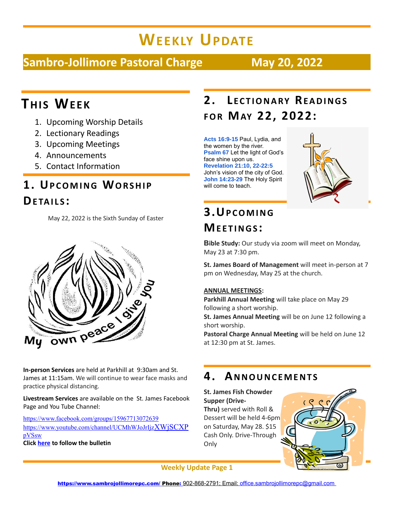# **WEEKLY UPDATE**

#### **Sambro-Jollimore Pastoral Charge May 20, 2022**

## **THIS WEE K**

- 1. Upcoming Worship Details
- 2. Lectionary Readings
- 3. Upcoming Meetings
- 4. Announcements
- 5. Contact Information

#### **1. UP C O M I N G WO R S H I P DE TA I L S :**

May 22, 2022 is the Sixth Sunday of Easter



**In-person Services** are held at Parkhill at 9:30am and St. James at 11:15am. We will continue to wear face masks and practice physical distancing.

**Livestream Services** are available on the St. James Facebook Page and You Tube Channel:

[https://www.facebook.com/groups/15967713072639](https://www.facebook.com/groups/159677130726391) [https://www.youtube.com/channel/UCMhWJoJrIjz](https://www.youtube.com/channel/UCMhWJoJrIjzXWjSCXPpVSsw)[XWjSCXP](https://www.youtube.com/channel/UCMhWJoJrIjzXWjSCXPpVSsw)

[pVSsw](https://www.youtube.com/channel/UCMhWJoJrIjzXWjSCXPpVSsw) **Click [here](file:///C:/Users/Secretary/Documents/Bulletins/Bulletins%202022/May/22%20May%20Bulletin%20for%20website.pdf) to follow the bulletin** 

## **2. L E C T I O N A R Y RE A D I N G S F O R MAY 22, 2022:**

**Acts 16:9-15** Paul, Lydia, and the women by the river. **Psalm 67** Let the light of God's face shine upon us. **Revelation 21:10, 22-22:5**  John's vision of the city of God. **John 14:23-29** The Holy Spirit will come to teach.



## **3.UP C O M I N G ME E T I N G S :**

**Bible Study:** Our study via zoom will meet on Monday, May 23 at 7:30 pm.

**St. James Board of Management** will meet in-person at 7 pm on Wednesday, May 25 at the church.

#### **ANNUAL MEETINGS:**

**Parkhill Annual Meeting** will take place on May 29 following a short worship.

**St. James Annual Meeting** will be on June 12 following a short worship.

**Pastoral Charge Annual Meeting** will be held on June 12 at 12:30 pm at St. James.

#### **4. AN N O U N C E M E N T S**

#### **St. James Fish Chowder Supper (Drive-**

**Thru)** served with Roll & Dessert will be held 4-6pm on Saturday, May 28. \$15 Cash Only. Drive-Through **Only** 



**Weekly Update Page 1**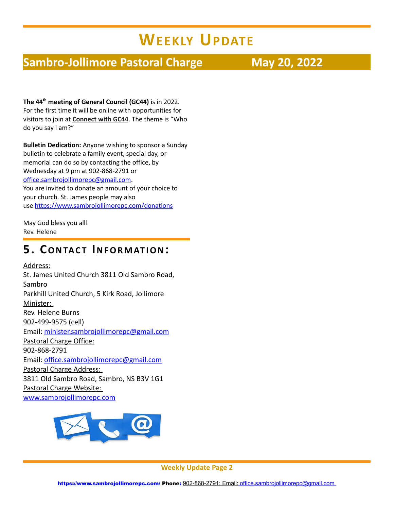## **WEEKLY UPDATE**

#### **Sambro-Jollimore Pastoral Charge May 20, 2022**

**The 44th meeting of General Council (GC44)** is in 2022. For the first time it will be online with opportunities for visitors to join at **[Connect with GC44](https://can01.safelinks.protection.outlook.com/?url=https%3A%2F%2Fgeneralcouncil44.ca%2Fabout%2Fconnect-gc44&data=04%7C01%7CJTaylor@united-church.ca%7Cf2c6b86782f9431dd73708d9e4c9e3dc%7Ccf18b5a826784011931215f0f7157574%7C0%7C0%7C637792378020078418%7CUnknown%7CTWFpbGZsb3d8eyJWIjoiMC4wLjAwMDAiLCJQIjoiV2luMzIiLCJBTiI6Ik1haWwiLCJXVCI6Mn0%3D%7C3000&sdata=UKdTcdwQKXNpoI4owgVwj5fQfD5FLt%2F0SeY%2Fuyb1aCI%3D&reserved=0)**. The theme is "Who do you say I am?"

**Bulletin Dedication:** Anyone wishing to sponsor a Sunday bulletin to celebrate a family event, special day, or memorial can do so by contacting the office, by Wednesday at 9 pm at 902-868-2791 or [office.sambrojollimorepc@gmail.com.](mailto:office.sambrojollimorepc@gmail.com) You are invited to donate an amount of your choice to your church. St. James people may also use <https://www.sambrojollimorepc.com/donations>

May God bless you all! Rev. Helene

#### **5. CO N TA C T IN F O R M AT I O N:**

Address: St. James United Church 3811 Old Sambro Road, Sambro Parkhill United Church, 5 Kirk Road, Jollimore Minister: Rev. Helene Burns 902-499-9575 (cell) Email: [minister.sambrojollimorepc@gmail.com](mailto:minister.sambrojollimorepc@gmail.com) Pastoral Charge Office: 902-868-2791 Email: [office.sambrojollimorepc@gmail.com](mailto:office.sambrojollimorepc@gmail.com) Pastoral Charge Address: 3811 Old Sambro Road, Sambro, NS B3V 1G1 Pastoral Charge Website: [www.sambrojollimorepc.com](http://www.sambrojollimorepc.com/)